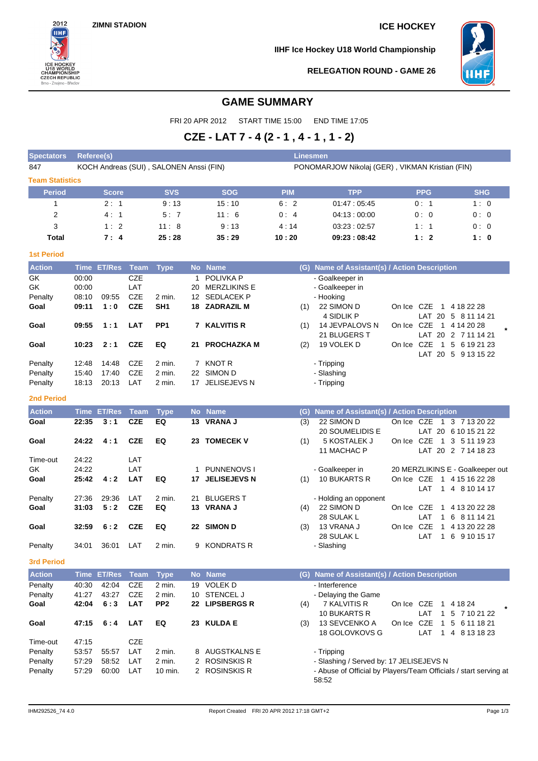

**IIHF Ice Hockey U18 World Championship**



**RELEGATION ROUND - GAME 26**

# **GAME SUMMARY**

FRI 20 APR 2012 START TIME 15:00 END TIME 17:05

# **CZE - LAT 7 - 4 (2 - 1 , 4 - 1 , 1 - 2)**

| <b>Spectators</b>       | <b>Referee(s)</b> |               |             |                                         |    |                     | <b>Linesmen</b> |                                                 |        |                                      |                                                  |  |
|-------------------------|-------------------|---------------|-------------|-----------------------------------------|----|---------------------|-----------------|-------------------------------------------------|--------|--------------------------------------|--------------------------------------------------|--|
| 847                     |                   |               |             | KOCH Andreas (SUI), SALONEN Anssi (FIN) |    |                     |                 | PONOMARJOW Nikolaj (GER), VIKMAN Kristian (FIN) |        |                                      |                                                  |  |
| <b>Team Statistics</b>  |                   |               |             |                                         |    |                     |                 |                                                 |        |                                      |                                                  |  |
| <b>Period</b>           |                   | <b>Score</b>  |             | <b>SVS</b>                              |    | <b>SOG</b>          | <b>PIM</b>      | <b>TPP</b>                                      |        | <b>PPG</b>                           | <b>SHG</b>                                       |  |
| 1                       |                   | 2:1           |             | 9:13                                    |    | 15:10               | 6:2             | 01:47:05:45                                     |        | 0:1                                  | 1:0                                              |  |
| $\overline{\mathbf{c}}$ |                   | 4:1           |             | 5:7                                     |    | 11:6                | 0:4             | 04:13:00:00                                     |        | 0:0                                  | 0:0                                              |  |
| 3                       |                   | 1:2           |             | 11:8                                    |    | 9:13                | 4:14            | 03:23:02:57                                     |        | 1:1                                  | 0:0                                              |  |
| <b>Total</b>            |                   | 7:4           |             | 25:28                                   |    | 35:29               | 10:20           | 09:23:08:42                                     |        | 1:2                                  | 1:0                                              |  |
| <b>1st Period</b>       |                   |               |             |                                         |    |                     |                 |                                                 |        |                                      |                                                  |  |
| <b>Action</b>           | <b>Time</b>       | <b>ET/Res</b> | <b>Team</b> | <b>Type</b>                             |    | No Name             | (G)             | Name of Assistant(s) / Action Description       |        |                                      |                                                  |  |
| GK                      | 00:00             |               | <b>CZE</b>  |                                         |    | <b>POLIVKA P</b>    |                 | - Goalkeeper in                                 |        |                                      |                                                  |  |
| GK                      | 00:00             |               | LAT         |                                         | 20 | <b>MERZLIKINS E</b> |                 | - Goalkeeper in                                 |        |                                      |                                                  |  |
| Penalty                 | 08:10             | 09:55         | <b>CZE</b>  | $2$ min.                                | 12 | <b>SEDLACEK P</b>   |                 | - Hooking                                       |        |                                      |                                                  |  |
| Goal                    | 09:11             | 1:0           | <b>CZE</b>  | SH <sub>1</sub>                         | 18 | <b>ZADRAZIL M</b>   | (1)             | 22 SIMON D<br>4 SIDLIK P                        | On Ice | CZE<br>$\mathbf{1}$<br>LAT 20        | 4 18 22 28<br>5<br>8 11 14 21                    |  |
| Goal                    | 09:55             | 1:1           | <b>LAT</b>  | PP <sub>1</sub>                         | 7  | <b>KALVITIS R</b>   | (1)             | 14 JEVPALOVS N<br>21 BLUGERS T                  | On Ice | <b>CZE</b><br>1<br>LAT<br>-20        | 4 14 20 28<br>2 7 11 14 21                       |  |
| Goal                    | 10:23             | 2:1           | <b>CZE</b>  | EQ                                      | 21 | <b>PROCHAZKA M</b>  | (2)             | 19 VOLEK D                                      | On Ice | <b>CZE</b><br>$\mathbf{1}$<br>LAT 20 | 5<br>6 19 21 23<br>$5\overline{)}$<br>9 13 15 22 |  |
| Penalty                 | 12:48             | 14:48         | <b>CZE</b>  | $2$ min.                                |    | <b>KNOT R</b>       |                 | - Tripping                                      |        |                                      |                                                  |  |
| Penalty                 | 15:40             | 17:40         | <b>CZE</b>  | 2 min.                                  | 22 | SIMON D             |                 | - Slashing                                      |        |                                      |                                                  |  |
| Penalty                 | 18:13             | 20:13         | LAT         | 2 min.                                  | 17 | JELISEJEVS N        |                 | - Tripping                                      |        |                                      |                                                  |  |

### **2nd Period**

| <b>Action</b> | Time  | <b>ET/Res</b> | Team       | <b>Type</b> |     | No Name             | (G) | Name of Assistant(s) / Action Description |        |            |              |                                  |
|---------------|-------|---------------|------------|-------------|-----|---------------------|-----|-------------------------------------------|--------|------------|--------------|----------------------------------|
| Goal          | 22:35 | 3:1           | <b>CZE</b> | EQ          |     | 13 VRANA J          | (3) | 22 SIMON D                                | On Ice | CZE        | -1           | 3 7 13 20 22                     |
|               |       |               |            |             |     |                     |     | 20 SOUMELIDIS E                           |        | LAT        |              | 20 6 10 15 21 22                 |
| Goal          | 24:22 | 4:1           | <b>CZE</b> | EQ          | 23  | <b>TOMECEK V</b>    | (1) | 5 KOSTALEK J                              | On Ice | CZE        | -1           | 3 5 11 19 23                     |
|               |       |               |            |             |     |                     |     | 11 MACHAC P                               |        |            |              | LAT 20 2 7 14 18 23              |
| Time-out      | 24:22 |               | LAT        |             |     |                     |     |                                           |        |            |              |                                  |
| GK.           | 24:22 |               | LAT        |             |     | PUNNENOVS I         |     | - Goalkeeper in                           |        |            |              | 20 MERZLIKINS E - Goalkeeper out |
| Goal          | 25:42 | 4:2           | <b>LAT</b> | EQ          | 17  | <b>JELISEJEVS N</b> | (1) | 10 BUKARTS R                              | On Ice | CZE        | $\mathbf{1}$ | 4 15 16 22 28                    |
|               |       |               |            |             |     |                     |     |                                           |        | ∣ AT       | -1           | 4 8 10 14 17                     |
| Penalty       | 27:36 | 29:36         | LAT        | $2$ min.    | 21. | <b>BLUGERS T</b>    |     | - Holding an opponent                     |        |            |              |                                  |
| Goal          | 31:03 | 5:2           | <b>CZE</b> | EQ          | 13. | <b>VRANA J</b>      | (4) | 22 SIMON D                                | On Ice | CZE        | 1            | 4 13 20 22 28                    |
|               |       |               |            |             |     |                     |     | 28 SULAK L                                |        | LAT        | -1           | 6 8 11 14 21                     |
| Goal          | 32:59 | 6:2           | <b>CZE</b> | EQ          | 22  | <b>SIMON D</b>      | (3) | 13 VRANA J                                | On Ice | <b>CZE</b> | -1           | 4 13 20 22 28                    |
|               |       |               |            |             |     |                     |     | 28 SULAK L                                |        | LAT        | -1           | 6 9 10 15 17                     |
| Penalty       | 34:01 | 36:01         | LAT        | $2$ min.    | 9   | <b>KONDRATS R</b>   |     | - Slashing                                |        |            |              |                                  |

**3rd Period**

| <b>Action</b> |       | <u>'Time</u> ET/Res Team, |            | <b>Type</b>     |    | No Name          | (G) | Name of Assistant(s) / Action Description                        |        |     |   |              |  |
|---------------|-------|---------------------------|------------|-----------------|----|------------------|-----|------------------------------------------------------------------|--------|-----|---|--------------|--|
| Penalty       | 40:30 | 42:04                     | CZE        | 2 min.          | 19 | <b>VOLEK D</b>   |     | - Interference                                                   |        |     |   |              |  |
| Penalty       | 41:27 | 43:27                     | CZE        | 2 min.          | 10 | <b>STENCEL J</b> |     | - Delaying the Game                                              |        |     |   |              |  |
| Goal          | 42:04 | 6:3                       | <b>LAT</b> | PP <sub>2</sub> |    | 22 LIPSBERGS R   | (4) | 7 KALVITIS R                                                     | On Ice | CZE |   | 4 18 24      |  |
|               |       |                           |            |                 |    |                  |     | 10 BUKARTS R                                                     |        | LAT |   | 5 7 10 21 22 |  |
| Goal          | 47:15 | 6:4                       | LAT        | EQ              |    | 23 KULDA E       | (3) | 13 SEVCENKO A                                                    | On Ice | CZE | 1 | 5 6 11 18 21 |  |
|               |       |                           |            |                 |    |                  |     | 18 GOLOVKOVS G                                                   |        | LAT |   | 4 8 13 18 23 |  |
| Time-out      | 47:15 |                           | CZE        |                 |    |                  |     |                                                                  |        |     |   |              |  |
| Penalty       | 53:57 | 55:57                     | LAT        | 2 min.          |    | 8 AUGSTKALNS E   |     | - Tripping                                                       |        |     |   |              |  |
| Penalty       | 57:29 | 58:52                     | LAT        | $2$ min.        |    | 2 ROSINSKIS R    |     | - Slashing / Served by: 17 JELISEJEVS N                          |        |     |   |              |  |
| Penalty       | 57:29 | 60:00                     | LAT        | 10 min.         |    | 2 ROSINSKIS R    |     | - Abuse of Official by Players/Team Officials / start serving at |        |     |   |              |  |
|               |       |                           |            |                 |    |                  |     | 58:52                                                            |        |     |   |              |  |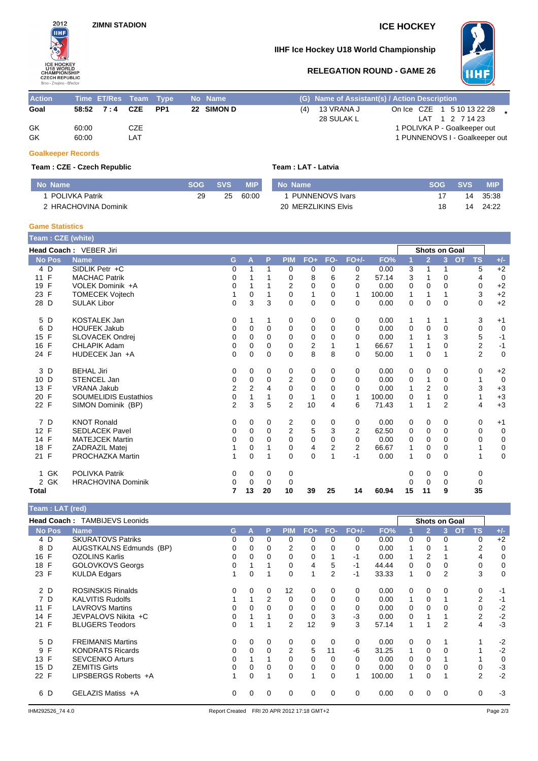

# **IIHF Ice Hockey U18 World Championship**



# **RELEGATION ROUND - GAME 26**

| <b>Action</b> | Time ET/Res Team Type |     |  | No Name    | (G) Name of Assistant(s) / Action Description |                 |  |                                |  |
|---------------|-----------------------|-----|--|------------|-----------------------------------------------|-----------------|--|--------------------------------|--|
| Goal          | 58:52 7:4 CZE PP1     |     |  | 22 SIMON D | $(4)$ 13 VRANA J                              |                 |  | On Ice CZE 1 5 10 13 22 28     |  |
|               |                       |     |  |            | 28 SULAK L                                    | LAT 1 2 7 14 23 |  |                                |  |
| GK            | 60:00                 | CZE |  |            |                                               |                 |  | 1 POLIVKA P - Goalkeeper out   |  |
| GK            | 60:00                 | LAT |  |            |                                               |                 |  | 1 PUNNENOVS I - Goalkeeper out |  |
|               |                       |     |  |            |                                               |                 |  |                                |  |

### **Goalkeeper Records**

### **Team : CZE - Czech Republic Team : LAT - Latvia**

| No Name                   | <b>SOG</b> | <b>SVS</b> | <b>MIP</b> | No Name                | SOG. | <b>SVS</b> | MIP.  |
|---------------------------|------------|------------|------------|------------------------|------|------------|-------|
| POLIVKA Patrik            | 29         | 25         | 60:00      | <b>PUNNENOVS Ivars</b> |      | 14         | 35:38 |
| <b>HRACHOVINA Dominik</b> |            |            |            | 20 MERZLIKINS Elvis    |      | 14         | 24:22 |

### **Game Statistics**

| Team: CZE (white)  |                              |                |             |          |                |              |                |              |        |    |                      |                |           |                         |             |
|--------------------|------------------------------|----------------|-------------|----------|----------------|--------------|----------------|--------------|--------|----|----------------------|----------------|-----------|-------------------------|-------------|
|                    | Head Coach: VEBER Jiri       |                |             |          |                |              |                |              |        |    | <b>Shots on Goal</b> |                |           |                         |             |
| <b>No Pos</b>      | <b>Name</b>                  | G              | A           | P        | <b>PIM</b>     | $FO+$        | FO-            | $FO+/-$      | FO%    |    | $\overline{2}$       | $\overline{3}$ | <b>OT</b> | <b>TS</b>               | $+/-$       |
| 4 D                | SIDLIK Petr +C               | 0              |             | 1        | 0              | 0            | 0              | 0            | 0.00   | 3  | 1                    | 1              |           | 5                       | $+2$        |
| F<br>11            | <b>MACHAC Patrik</b>         | 0              |             |          | 0              | 8            | 6              | 2            | 57.14  | 3  |                      | 0              |           | 4                       | $\mathbf 0$ |
| F<br>19            | VOLEK Dominik +A             | 0              |             |          | 2              | $\mathbf 0$  | 0              | $\Omega$     | 0.00   | 0  | 0                    | 0              |           | 0                       | $+2$        |
| 23 F               | <b>TOMECEK Vojtech</b>       | 1              | $\mathbf 0$ |          | 0              | 1            | 0              | 1            | 100.00 | 1  |                      |                |           | 3                       | $+2$        |
| 28<br>D            | <b>SULAK Libor</b>           | 0              | 3           | 3        | 0              | $\mathbf 0$  | $\mathbf 0$    | 0            | 0.00   | 0  | $\mathbf 0$          | 0              |           | 0                       | $+2$        |
| 5<br>D             | <b>KOSTALEK Jan</b>          | 0              | 1           | 1        | 0              | 0            | 0              | 0            | 0.00   | 1  | 1                    | 1              |           | 3                       | $+1$        |
| D<br>6             | <b>HOUFEK Jakub</b>          | 0              | 0           | $\Omega$ | 0              | 0            | $\Omega$       | $\Omega$     | 0.00   | 0  | 0                    | $\Omega$       |           | 0                       | $\mathbf 0$ |
| F<br>15            | SLOVACEK Ondrej              | 0              | 0           | 0        | 0              | 0            | 0              | 0            | 0.00   | 1  |                      | 3              |           | 5                       | $-1$        |
| F<br>16            | CHLAPIK Adam                 | $\mathbf 0$    | $\Omega$    | $\Omega$ | 0              | 2            |                | 1            | 66.67  | 1  | 1                    | 0              |           | $\overline{\mathbf{c}}$ | $-1$        |
| 24 F               | HUDECEK Jan +A               | 0              | 0           | 0        | 0              | 8            | 8              | $\Omega$     | 50.00  | 1  | $\Omega$             |                |           | $\overline{2}$          | $\mathbf 0$ |
| D<br>3             | <b>BEHAL Jiri</b>            | 0              | 0           | 0        | 0              | 0            | 0              | 0            | 0.00   | 0  | 0                    | 0              |           | 0                       | $+2$        |
| D<br>10            | STENCEL Jan                  | $\mathbf 0$    | 0           | 0        | 2              | 0            | $\Omega$       | $\Omega$     | 0.00   | 0  | 1                    | 0              |           | 1                       | $\mathbf 0$ |
| F<br>13            | <b>VRANA Jakub</b>           | $\overline{2}$ | 2           | 4        | 0              | 0            | 0              | $\Omega$     | 0.00   | 1  | 2                    | 0              |           | 3                       | $+3$        |
| F<br>20            | <b>SOUMELIDIS Eustathios</b> | 0              |             |          | 0              | $\mathbf{1}$ | 0              | $\mathbf{1}$ | 100.00 | 0  |                      | 0              |           | 1                       | $+3$        |
| 22 F               | SIMON Dominik (BP)           | $\overline{2}$ | 3           | 5        | $\overline{2}$ | 10           | 4              | 6            | 71.43  | 1  |                      | $\overline{2}$ |           | 4                       | $+3$        |
| D<br>7             | <b>KNOT Ronald</b>           | 0              | 0           | 0        | 2              | 0            | 0              | 0            | 0.00   | 0  | 0                    | 0              |           | 0                       | $+1$        |
| 12 F               | <b>SEDLACEK Pavel</b>        | 0              | 0           | $\Omega$ | 2              | 5            | 3              | 2            | 62.50  | 0  | 0                    | $\Omega$       |           | 0                       | $\mathbf 0$ |
| F<br>14            | <b>MATEJCEK Martin</b>       | 0              | 0           | 0        | 0              | 0            | 0              | 0            | 0.00   | 0  | 0                    | 0              |           | 0                       | 0           |
| F<br>18            | <b>ZADRAZIL Matei</b>        | 1              | 0           |          | 0              | 4            | $\overline{2}$ | 2            | 66.67  | 1  | 0                    | $\Omega$       |           |                         | 0           |
| $\mathsf{F}$<br>21 | PROCHAZKA Martin             | 1              | 0           | 1        | 0              | $\mathbf 0$  |                | $-1$         | 0.00   | 1  | $\mathbf 0$          | 0              |           | 1                       | $\mathbf 0$ |
| 1 GK               | <b>POLIVKA Patrik</b>        | 0              | 0           | 0        | 0              |              |                |              |        | 0  | 0                    | 0              |           | 0                       |             |
| 2 GK               | <b>HRACHOVINA Dominik</b>    | 0              | 0           | 0        | 0              |              |                |              |        | 0  | 0                    | 0              |           | 0                       |             |
| Total              |                              | 7              | 13          | 20       | 10             | 39           | 25             | 14           | 60.94  | 15 | 11                   | 9              |           | 35                      |             |

|                    | Team: LAT (red)                      |    |          |          |                |          |                |         |        |              |                |               |                        |          |
|--------------------|--------------------------------------|----|----------|----------|----------------|----------|----------------|---------|--------|--------------|----------------|---------------|------------------------|----------|
|                    | <b>Head Coach: TAMBIJEVS Leonids</b> |    |          |          |                |          |                |         |        |              |                | Shots on Goal |                        |          |
| <b>No Pos</b>      | <b>Name</b>                          | G. | А        | P        | <b>PIM</b>     | FO+      | FO-            | $FO+/-$ | FO%    |              | $\overline{2}$ | 3             | <b>TS</b><br><b>OT</b> | $+/-$    |
| 4 D                | <b>SKURATOVS Patriks</b>             | 0  | $\Omega$ | $\Omega$ | 0              | $\Omega$ | $\Omega$       | 0       | 0.00   | $\Omega$     | 0              | 0             | $\Omega$               | $+2$     |
| 8 D                | AUGSTKALNS Edmunds (BP)              | 0  | 0        | 0        | 2              | 0        |                | 0       | 0.00   |              | 0              |               | $\overline{2}$         | $\Omega$ |
| 16 F               | <b>OZOLINS Karlis</b>                | 0  | 0        | 0        | 0              | 0        |                | -1      | 0.00   |              | $\overline{2}$ |               | 4                      | 0        |
| 18 F               | <b>GOLOVKOVS Georgs</b>              | 0  |          |          | 0              | 4        | 5              | $-1$    | 44.44  | $\Omega$     | 0              | $\Omega$      | 0                      | 0        |
| 23 F               | <b>KULDA Edgars</b>                  |    | $\Omega$ |          | 0              | 1        | $\overline{2}$ | $-1$    | 33.33  | 1            | 0              | 2             | 3                      | $\Omega$ |
| 2 D                | <b>ROSINSKIS Rinalds</b>             | 0  | $\Omega$ | 0        | 12             | 0        | $\Omega$       | 0       | 0.00   | 0            | 0              | $\Omega$      | 0                      | $-1$     |
| 7 D                | <b>KALVITIS Rudolfs</b>              |    |          | 2        | $\Omega$       | $\Omega$ | $\Omega$       | 0       | 0.00   | 1            | 0              |               | $\overline{2}$         | $-1$     |
| $\mathsf{F}$<br>11 | <b>LAVROVS Martins</b>               | 0  |          | 0        | 0              | 0        | 0              | 0       | 0.00   | 0            | 0              | 0             | 0                      | $-2$     |
| 14 F               | JEVPALOVS Nikita +C                  | 0  |          |          | 0              | 0        | 3              | $-3$    | 0.00   | 0            |                |               | $\overline{2}$         | $-2$     |
| 21 F               | <b>BLUGERS Teodors</b>               | 0  |          |          | $\overline{2}$ | 12       | 9              | 3       | 57.14  | 1            |                | 2             | 4                      | $-3$     |
| 5 D                | <b>FREIMANIS Martins</b>             | 0  | $\Omega$ | 0        | 0              | 0        | $\Omega$       | 0       | 0.00   | 0            | 0              |               |                        | $-2$     |
| F<br>9             | <b>KONDRATS Ricards</b>              | 0  | $\Omega$ | $\Omega$ | $\overline{2}$ | 5        | 11             | -6      | 31.25  | $\mathbf{1}$ | 0              | $\Omega$      |                        | $-2$     |
| 13 F               | <b>SEVCENKO Arturs</b>               |    |          |          | 0              | 0        | 0              | 0       | 0.00   | 0            | 0              |               |                        | 0        |
| 15 D               | <b>ZEMITIS Girts</b>                 | 0  | 0        |          | 0              | 0        | 0              | 0       | 0.00   | 0            | 0              |               | 0                      | $-3$     |
| 22 F               | LIPSBERGS Roberts +A                 |    | $\Omega$ |          | 0              | 1        | $\mathbf 0$    |         | 100.00 | 1            | 0              |               | $\overline{2}$         | $-2$     |
| 6 D                | GELAZIS Matiss +A                    |    |          | 0        | $\Omega$       | $\Omega$ | $\Omega$       | 0       | 0.00   | $\Omega$     | 0              | $\Omega$      | $\Omega$               | $-3$     |